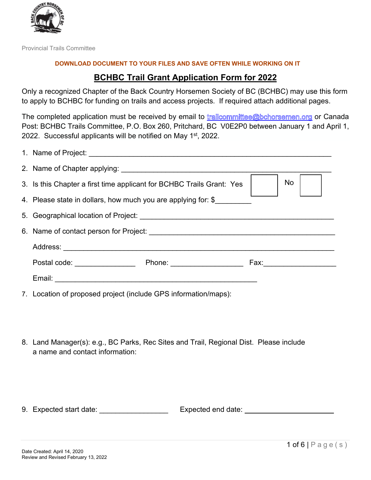

Provincial Trails Committee

#### **DOWNLOAD DOCUMENT TO YOUR FILES AND SAVE OFTEN WHILE WORKING ON IT**

### **BCHBC Trail Grant Application Form for 2022**

Only a recognized Chapter of the Back Country Horsemen Society of BC (BCHBC) may use this form to apply to BCHBC for funding on trails and access projects. If required attach additional pages.

The completed application must be received by email to trailcommittee@bchorsemen.org or Canada Post: BCHBC Trails Committee, P.O. Box 260, Pritchard, BC V0E2P0 between January 1 and April 1, 2022. Successful applicants will be notified on May 1<sup>st</sup>, 2022.

| <b>No</b><br>3. Is this Chapter a first time applicant for BCHBC Trails Grant: Yes |                             |                     |  |  |  |  |
|------------------------------------------------------------------------------------|-----------------------------|---------------------|--|--|--|--|
| 4. Please state in dollars, how much you are applying for: \$                      |                             |                     |  |  |  |  |
|                                                                                    |                             |                     |  |  |  |  |
|                                                                                    |                             |                     |  |  |  |  |
|                                                                                    |                             |                     |  |  |  |  |
| Postal code: _________________                                                     | Phone: ____________________ | Fax: ______________ |  |  |  |  |
|                                                                                    |                             |                     |  |  |  |  |
|                                                                                    |                             |                     |  |  |  |  |

7. Location of proposed project (include GPS information/maps):

8. Land Manager(s): e.g., BC Parks, Rec Sites and Trail, Regional Dist. Please include a name and contact information:

9. Expected start date: \_\_\_\_\_\_\_\_\_\_\_\_\_\_\_\_\_\_\_\_\_\_ Expected end date: \_\_\_\_\_\_\_\_\_\_\_\_\_\_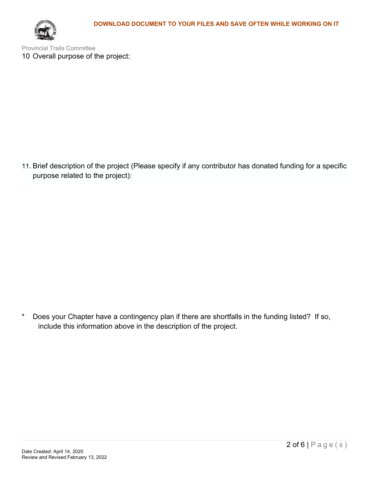

Provincial Trails Committee 10 Overall purpose of the project:

11. Brief description of the project (Please specify if any contributor has donated funding for a specific purpose related to the project):

\* Does your Chapter have a contingency plan if there are shortfalls in the funding listed? If so, include this information above in the description of the project.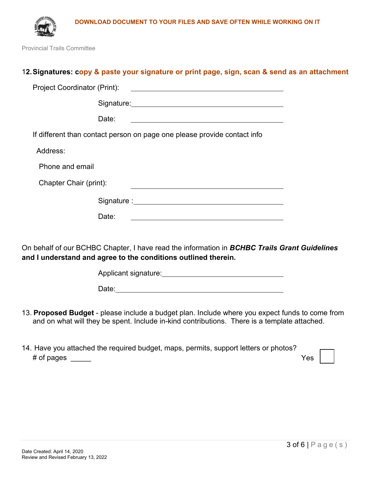



Provincial Trails Committee

# 12. Signatures: copy & paste your signature or print page, sign, scan & send as an attachment

|                        | Date:                                                                                                                                                          |
|------------------------|----------------------------------------------------------------------------------------------------------------------------------------------------------------|
|                        | If different than contact person on page one please provide contact info                                                                                       |
| Address:               |                                                                                                                                                                |
| Phone and email        |                                                                                                                                                                |
| Chapter Chair (print): |                                                                                                                                                                |
|                        |                                                                                                                                                                |
|                        | Date:                                                                                                                                                          |
|                        |                                                                                                                                                                |
|                        | On behalf of our BCHBC Chapter, I have read the information in BCHBC Trails Grant Guidelines<br>and I understand and agree to the conditions outlined therein. |

Applicant signature: **Applicant** signature:

- 13. **Proposed Budget** please include a budget plan. Include where you expect funds to come from and on what will they be spent. Include in-kind contributions. There is a template attached.
- 14. Have you attached the required budget, maps, permits, support letters or photos? # of pages \_\_\_\_\_ Yes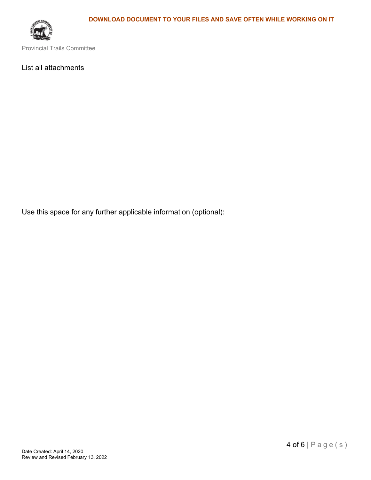

Provincial Trails Committee

### List all attachments

Use this space for any further applicable information (optional):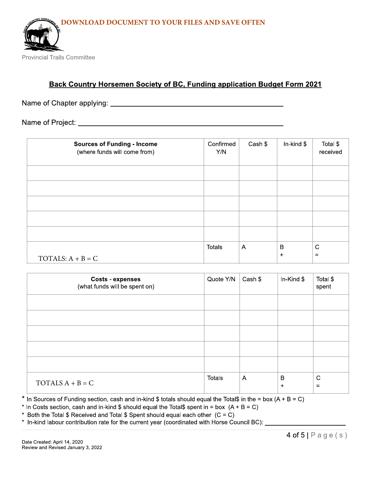

# **Back Country Horsemen Society of BC, Funding application Budget Form 2021**

Name of Chapter applying: Name of Chapter applying:

| <b>Sources of Funding - Income</b><br>(where funds will come from) | Confirmed<br>Y/N | Cash \$        | In-kind $$$ | Total \$<br>received |
|--------------------------------------------------------------------|------------------|----------------|-------------|----------------------|
|                                                                    |                  |                |             |                      |
|                                                                    |                  |                |             |                      |
|                                                                    |                  |                |             |                      |
|                                                                    |                  |                |             |                      |
|                                                                    |                  |                |             |                      |
|                                                                    | <b>Totals</b>    | $\overline{A}$ | B           | $\mathsf{C}$         |
| TOTALS: $A + B = C$                                                |                  |                | $\ddot{}$   | $=$                  |

| <b>Costs - expenses</b><br>(what funds will be spent on) | Quote Y/N     | Cash \$        | In-Kind $$$    | Total \$<br>spent  |
|----------------------------------------------------------|---------------|----------------|----------------|--------------------|
|                                                          |               |                |                |                    |
|                                                          |               |                |                |                    |
|                                                          |               |                |                |                    |
|                                                          |               |                |                |                    |
|                                                          |               |                |                |                    |
| TOTALS $A + B = C$                                       | <b>Totals</b> | $\overline{A}$ | B<br>$\ddot{}$ | $\mathbf C$<br>$=$ |

\* In Sources of Funding section, cash and in-kind \$ totals should equal the Total\$ in the = box  $(A + B = C)$ 

\* In Costs section, cash and in-kind \$ should equal the Total\$ spent in = box  $(A + B = C)$ 

\* Both the Total \$ Received and Total \$ Spent should equal each other  $(C = C)$ 

\* In-kind labour contribution rate for the current year (coordinated with Horse Council BC):